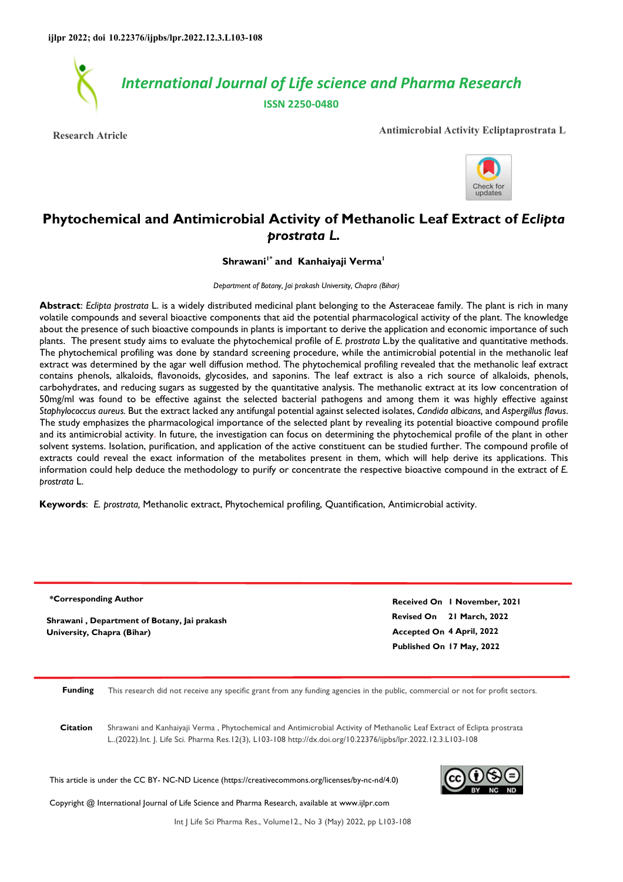

**Research Atricle Antimicrobial Activity Ecliptaprostrata L** 



# **Phytochemical and Antimicrobial Activity of Methanolic Leaf Extract of** *Eclipta prostrata L.*

**Shrawani1\* and Kanhaiyaji Verma<sup>1</sup>**

*Department of Botany, Jai prakash University, Chapra (Bihar)* 

**Abstract**: *Eclipta prostrata* L. is a widely distributed medicinal plant belonging to the Asteraceae family. The plant is rich in many volatile compounds and several bioactive components that aid the potential pharmacological activity of the plant. The knowledge about the presence of such bioactive compounds in plants is important to derive the application and economic importance of such plants. The present study aims to evaluate the phytochemical profile of *E. prostrata* L.by the qualitative and quantitative methods. The phytochemical profiling was done by standard screening procedure, while the antimicrobial potential in the methanolic leaf extract was determined by the agar well diffusion method. The phytochemical profiling revealed that the methanolic leaf extract contains phenols, alkaloids, flavonoids, glycosides, and saponins. The leaf extract is also a rich source of alkaloids, phenols, carbohydrates, and reducing sugars as suggested by the quantitative analysis. The methanolic extract at its low concentration of 50mg/ml was found to be effective against the selected bacterial pathogens and among them it was highly effective against *Staphylococcus aureus.* But the extract lacked any antifungal potential against selected isolates, *Candida albicans,* and *Aspergillus flavus*. The study emphasizes the pharmacological importance of the selected plant by revealing its potential bioactive compound profile and its antimicrobial activity. In future, the investigation can focus on determining the phytochemical profile of the plant in other solvent systems. Isolation, purification, and application of the active constituent can be studied further. The compound profile of extracts could reveal the exact information of the metabolites present in them, which will help derive its applications. This information could help deduce the methodology to purify or concentrate the respective bioactive compound in the extract of *E. prostrata* L.

**Keywords**: *E. prostrata,* Methanolic extract, Phytochemical profiling, Quantification, Antimicrobial activity.

| *Corresponding Author                       | Received On I November, 2021 |  |  |  |
|---------------------------------------------|------------------------------|--|--|--|
| Shrawani, Department of Botany, Jai prakash | Revised On 21 March, 2022    |  |  |  |
| University, Chapra (Bihar)                  | Accepted On 4 April, 2022    |  |  |  |
|                                             | Published On 17 May, 2022    |  |  |  |
|                                             |                              |  |  |  |
|                                             |                              |  |  |  |

**Funding** This research did not receive any specific grant from any funding agencies in the public, commercial or not for profit sectors.

**Citation** Shrawani and Kanhaiyaji Verma , Phytochemical and Antimicrobial Activity of Methanolic Leaf Extract of Eclipta prostrata L..(2022).Int. J. Life Sci. Pharma Res.12(3), L103-108 http://dx.doi.org/10.22376/ijpbs/lpr.2022.12.3.L103-108

This article is under the CC BY- NC-ND Licence (https://creativecommons.org/licenses/by-nc-nd/4.0)



Copyright @ International Journal of Life Science and Pharma Research, available at www.ijlpr.com

Int J Life Sci Pharma Res., Volume12., No 3 (May) 2022, pp L103-108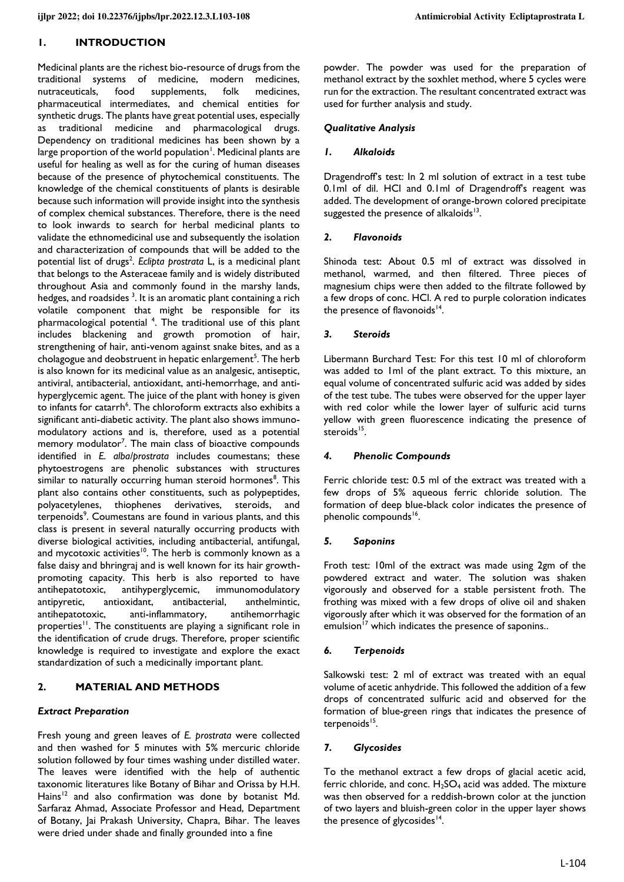## **1. INTRODUCTION**

Medicinal plants are the richest bio-resource of drugs from the traditional systems of medicine, modern medicines, nutraceuticals, food supplements, folk medicines, pharmaceutical intermediates, and chemical entities for synthetic drugs. The plants have great potential uses, especially as traditional medicine and pharmacological drugs. Dependency on traditional medicines has been shown by a large proportion of the world population<sup>1</sup>. Medicinal plants are useful for healing as well as for the curing of human diseases because of the presence of phytochemical constituents. The knowledge of the chemical constituents of plants is desirable because such information will provide insight into the synthesis of complex chemical substances. Therefore, there is the need to look inwards to search for herbal medicinal plants to validate the ethnomedicinal use and subsequently the isolation and characterization of compounds that will be added to the potential list of drugs<sup>2</sup>. Eclipta prostrata L, is a medicinal plant that belongs to the Asteraceae family and is widely distributed throughout Asia and commonly found in the marshy lands, hedges, and roadsides <sup>3</sup>. It is an aromatic plant containing a rich volatile component that might be responsible for its pharmacological potential <sup>4</sup>. The traditional use of this plant includes blackening and growth promotion of hair, strengthening of hair, anti-venom against snake bites, and as a cholagogue and deobstruent in hepatic enlargement<sup>5</sup>. The herb is also known for its medicinal value as an analgesic, antiseptic, antiviral, antibacterial, antioxidant, anti-hemorrhage, and antihyperglycemic agent. The juice of the plant with honey is given to infants for catarrh<sup>6</sup>. The chloroform extracts also exhibits a significant anti-diabetic activity. The plant also shows immunomodulatory actions and is, therefore, used as a potential memory modulator<sup>7</sup>. The main class of bioactive compounds identified in *E. alba/prostrata* includes coumestans; these phytoestrogens are phenolic substances with structures similar to naturally occurring human steroid hormones<sup>8</sup>. This plant also contains other constituents, such as polypeptides, polyacetylenes, thiophenes derivatives, steroids, and terpenoids<sup>9</sup>. Coumestans are found in various plants, and this class is present in several naturally occurring products with diverse biological activities, including antibacterial, antifungal, and mycotoxic activities<sup>10</sup>. The herb is commonly known as a false daisy and bhringraj and is well known for its hair growthpromoting capacity. This herb is also reported to have antihepatotoxic, antihyperglycemic, immunomodulatory antipyretic, antioxidant, antibacterial, anthelmintic, antihepatotoxic, anti-inflammatory, antihemorrhagic properties<sup>11</sup>. The constituents are playing a significant role in the identification of crude drugs. Therefore, proper scientific knowledge is required to investigate and explore the exact standardization of such a medicinally important plant.

#### **2. MATERIAL AND METHODS**

#### *Extract Preparation*

Fresh young and green leaves of *E. prostrata* were collected and then washed for 5 minutes with 5% mercuric chloride solution followed by four times washing under distilled water. The leaves were identified with the help of authentic taxonomic literatures like Botany of Bihar and Orissa by H.H. Hains<sup>12</sup> and also confirmation was done by botanist Md. Sarfaraz Ahmad, Associate Professor and Head, Department of Botany, Jai Prakash University, Chapra, Bihar. The leaves were dried under shade and finally grounded into a fine

powder. The powder was used for the preparation of methanol extract by the soxhlet method, where 5 cycles were run for the extraction. The resultant concentrated extract was used for further analysis and study.

#### *Qualitative Analysis*

#### *1. Alkaloids*

Dragendroff's test: In 2 ml solution of extract in a test tube 0.1ml of dil. HCl and 0.1ml of Dragendroff's reagent was added. The development of orange-brown colored precipitate suggested the presence of alkaloids $13$ .

#### *2. Flavonoids*

Shinoda test: About 0.5 ml of extract was dissolved in methanol, warmed, and then filtered. Three pieces of magnesium chips were then added to the filtrate followed by a few drops of conc. HCl. A red to purple coloration indicates the presence of flavonoids<sup>14</sup>.

#### *3. Steroids*

Libermann Burchard Test: For this test 10 ml of chloroform was added to 1ml of the plant extract. To this mixture, an equal volume of concentrated sulfuric acid was added by sides of the test tube. The tubes were observed for the upper layer with red color while the lower layer of sulfuric acid turns yellow with green fluorescence indicating the presence of steroids<sup>15</sup>.

#### *4. Phenolic Compounds*

Ferric chloride test: 0.5 ml of the extract was treated with a few drops of 5% aqueous ferric chloride solution. The formation of deep blue-black color indicates the presence of phenolic compounds<sup>16</sup>.

#### *5. Saponins*

Froth test: 10ml of the extract was made using 2gm of the powdered extract and water. The solution was shaken vigorously and observed for a stable persistent froth. The frothing was mixed with a few drops of olive oil and shaken vigorously after which it was observed for the formation of an emulsion<sup>17</sup> which indicates the presence of saponins..

#### *6. Terpenoids*

Salkowski test: 2 ml of extract was treated with an equal volume of acetic anhydride. This followed the addition of a few drops of concentrated sulfuric acid and observed for the formation of blue-green rings that indicates the presence of terpenoids<sup>15</sup>.

## *7. Glycosides*

To the methanol extract a few drops of glacial acetic acid, ferric chloride, and conc.  $H_2SO_4$  acid was added. The mixture was then observed for a reddish-brown color at the junction of two layers and bluish-green color in the upper layer shows the presence of glycosides<sup>14</sup>.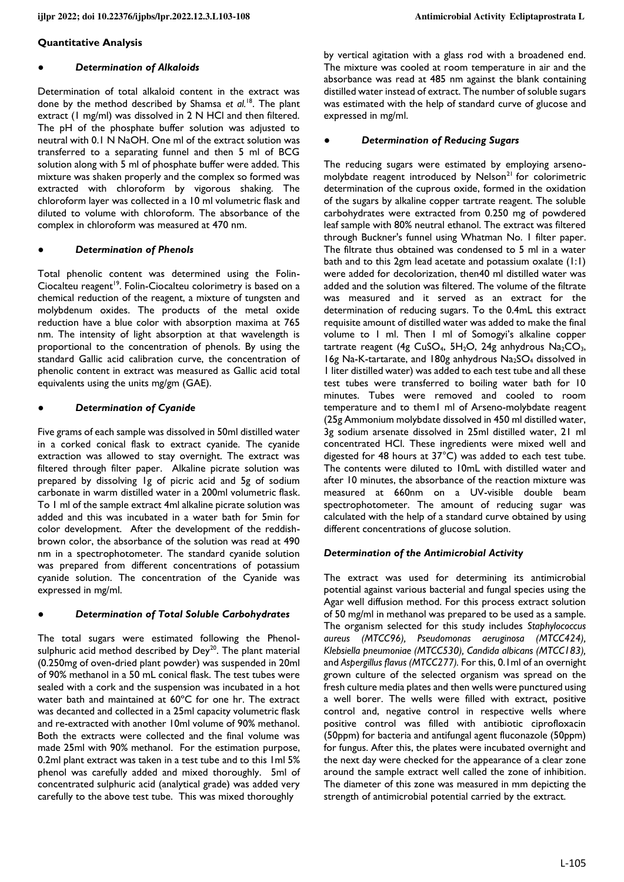#### **Quantitative Analysis**

#### **Determination of Alkaloids**

Determination of total alkaloid content in the extract was done by the method described by Shamsa *et al.*<sup>18</sup>. The plant extract (1 mg/ml) was dissolved in 2 N HCl and then filtered. The pH of the phosphate buffer solution was adjusted to neutral with 0.1 N NaOH. One ml of the extract solution was transferred to a separating funnel and then 5 ml of BCG solution along with 5 ml of phosphate buffer were added. This mixture was shaken properly and the complex so formed was extracted with chloroform by vigorous shaking. The chloroform layer was collected in a 10 ml volumetric flask and diluted to volume with chloroform. The absorbance of the complex in chloroform was measured at 470 nm.

#### **Determination of Phenols**

Total phenolic content was determined using the Folin-Ciocalteu reagent<sup>19</sup>. Folin-Ciocalteu colorimetry is based on a chemical reduction of the reagent, a mixture of tungsten and molybdenum oxides. The products of the metal oxide reduction have a blue color with absorption maxima at 765 nm. The intensity of light absorption at that wavelength is proportional to the concentration of phenols. By using the standard Gallic acid calibration curve, the concentration of phenolic content in extract was measured as Gallic acid total equivalents using the units mg/gm (GAE).

#### **Determination of Cyanide**

Five grams of each sample was dissolved in 50ml distilled water in a corked conical flask to extract cyanide. The cyanide extraction was allowed to stay overnight. The extract was filtered through filter paper. Alkaline picrate solution was prepared by dissolving 1g of picric acid and 5g of sodium carbonate in warm distilled water in a 200ml volumetric flask. To 1 ml of the sample extract 4ml alkaline picrate solution was added and this was incubated in a water bath for 5min for color development. After the development of the reddishbrown color, the absorbance of the solution was read at 490 nm in a spectrophotometer. The standard cyanide solution was prepared from different concentrations of potassium cyanide solution. The concentration of the Cyanide was expressed in mg/ml.

## **Determination of Total Soluble Carbohydrates**

The total sugars were estimated following the Phenolsulphuric acid method described by  $Dev^{20}$ . The plant material (0.250mg of oven-dried plant powder) was suspended in 20ml of 90% methanol in a 50 mL conical flask. The test tubes were sealed with a cork and the suspension was incubated in a hot water bath and maintained at 60ºC for one hr. The extract was decanted and collected in a 25ml capacity volumetric flask and re-extracted with another 10ml volume of 90% methanol. Both the extracts were collected and the final volume was made 25ml with 90% methanol. For the estimation purpose, 0.2ml plant extract was taken in a test tube and to this 1ml 5% phenol was carefully added and mixed thoroughly. 5ml of concentrated sulphuric acid (analytical grade) was added very carefully to the above test tube. This was mixed thoroughly

by vertical agitation with a glass rod with a broadened end. The mixture was cooled at room temperature in air and the absorbance was read at 485 nm against the blank containing distilled water instead of extract. The number of soluble sugars was estimated with the help of standard curve of glucose and expressed in mg/ml.

#### ● *Determination of Reducing Sugars*

The reducing sugars were estimated by employing arsenomolybdate reagent introduced by Nelson<sup>21</sup> for colorimetric determination of the cuprous oxide, formed in the oxidation of the sugars by alkaline copper tartrate reagent. The soluble carbohydrates were extracted from 0.250 mg of powdered leaf sample with 80% neutral ethanol. The extract was filtered through Buckner's funnel using Whatman No. 1 filter paper. The filtrate thus obtained was condensed to 5 ml in a water bath and to this 2gm lead acetate and potassium oxalate (1:1) were added for decolorization, then40 ml distilled water was added and the solution was filtered. The volume of the filtrate was measured and it served as an extract for the determination of reducing sugars. To the 0.4mL this extract requisite amount of distilled water was added to make the final volume to 1 ml. Then 1 ml of Somogyi's alkaline copper tartrate reagent (4g CuSO<sub>4</sub>, 5H<sub>2</sub>O, 24g anhydrous Na<sub>2</sub>CO<sub>3</sub>, 16g Na-K-tartarate, and 180g anhydrous Na2SO4 dissolved in 1 liter distilled water) was added to each test tube and all these test tubes were transferred to boiling water bath for 10 minutes. Tubes were removed and cooled to room temperature and to them1 ml of Arseno-molybdate reagent (25g Ammonium molybdate dissolved in 450 ml distilled water, 3g sodium arsenate dissolved in 25ml distilled water, 21 ml concentrated HCl. These ingredients were mixed well and digested for 48 hours at 37°C) was added to each test tube. The contents were diluted to 10mL with distilled water and after 10 minutes, the absorbance of the reaction mixture was measured at 660nm on a UV-visible double beam spectrophotometer. The amount of reducing sugar was calculated with the help of a standard curve obtained by using different concentrations of glucose solution.

#### *Determination of the Antimicrobial Activity*

The extract was used for determining its antimicrobial potential against various bacterial and fungal species using the Agar well diffusion method. For this process extract solution of 50 mg/ml in methanol was prepared to be used as a sample. The organism selected for this study includes *Staphylococcus aureus (MTCC96), Pseudomonas aeruginosa (MTCC424), Klebsiella pneumoniae (MTCC530), Candida albicans (MTCC183),* and *Aspergillus flavus (MTCC277).* For this, 0.1ml of an overnight grown culture of the selected organism was spread on the fresh culture media plates and then wells were punctured using a well borer. The wells were filled with extract, positive control and, negative control in respective wells where positive control was filled with antibiotic ciprofloxacin (50ppm) for bacteria and antifungal agent fluconazole (50ppm) for fungus. After this, the plates were incubated overnight and the next day were checked for the appearance of a clear zone around the sample extract well called the zone of inhibition. The diameter of this zone was measured in mm depicting the strength of antimicrobial potential carried by the extract.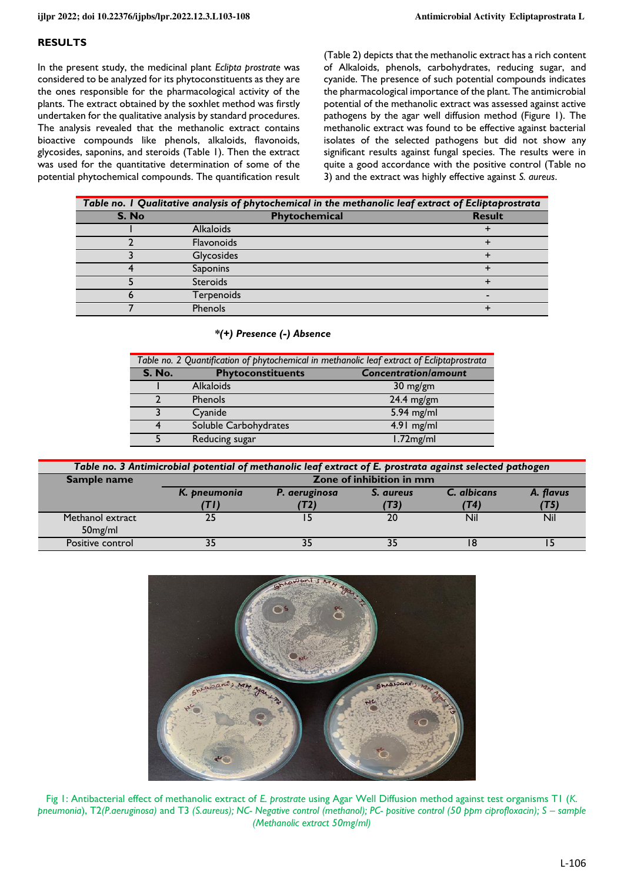#### **RESULTS**

In the present study, the medicinal plant *Eclipta prostrate* was considered to be analyzed for its phytoconstituents as they are the ones responsible for the pharmacological activity of the plants. The extract obtained by the soxhlet method was firstly undertaken for the qualitative analysis by standard procedures. The analysis revealed that the methanolic extract contains bioactive compounds like phenols, alkaloids, flavonoids, glycosides, saponins, and steroids (Table 1). Then the extract was used for the quantitative determination of some of the potential phytochemical compounds. The quantification result

(Table 2) depicts that the methanolic extract has a rich content of Alkaloids, phenols, carbohydrates, reducing sugar, and cyanide. The presence of such potential compounds indicates the pharmacological importance of the plant. The antimicrobial potential of the methanolic extract was assessed against active pathogens by the agar well diffusion method (Figure 1). The methanolic extract was found to be effective against bacterial isolates of the selected pathogens but did not show any significant results against fungal species. The results were in quite a good accordance with the positive control (Table no 3) and the extract was highly effective against *S. aureus*.

| Table no. I Qualitative analysis of phytochemical in the methanolic leaf extract of Ecliptaprostrata |                   |               |  |  |
|------------------------------------------------------------------------------------------------------|-------------------|---------------|--|--|
| S. No                                                                                                | Phytochemical     | <b>Result</b> |  |  |
|                                                                                                      | <b>Alkaloids</b>  |               |  |  |
|                                                                                                      | <b>Flavonoids</b> |               |  |  |
|                                                                                                      | Glycosides        |               |  |  |
|                                                                                                      | <b>Saponins</b>   |               |  |  |
|                                                                                                      | <b>Steroids</b>   |               |  |  |
|                                                                                                      | Terpenoids        |               |  |  |
|                                                                                                      | <b>Phenols</b>    |               |  |  |

*\*(+) Presence (-) Absence* 

| Table no. 2 Quantification of phytochemical in methanolic leaf extract of Ecliptaprostrata |                          |                             |  |  |
|--------------------------------------------------------------------------------------------|--------------------------|-----------------------------|--|--|
| <b>S. No.</b>                                                                              | <b>Phytoconstituents</b> | <b>Concentration/amount</b> |  |  |
|                                                                                            | <b>Alkaloids</b>         | $30 \text{ mg/gm}$          |  |  |
|                                                                                            | <b>Phenols</b>           | $24.4$ mg/gm                |  |  |
|                                                                                            | Cyanide                  | $5.94$ mg/ml                |  |  |
|                                                                                            | Soluble Carbohydrates    | $4.91$ mg/ml                |  |  |
|                                                                                            | Reducing sugar           | 1.72mg/ml                   |  |  |

| Table no. 3 Antimicrobial potential of methanolic leaf extract of E. prostrata against selected pathogen |                          |               |           |             |            |  |
|----------------------------------------------------------------------------------------------------------|--------------------------|---------------|-----------|-------------|------------|--|
| Sample name                                                                                              | Zone of inhibition in mm |               |           |             |            |  |
|                                                                                                          | K. pneumonia             | P. aeruginosa | S. aureus | C. albicans | A. flavus  |  |
|                                                                                                          | TD)                      | 'T21          | (T3)      | T4)         | (T5)       |  |
| Methanol extract                                                                                         | 25                       |               | 20        | Nil         | <b>Nil</b> |  |
| 50 <sub>mg/ml</sub>                                                                                      |                          |               |           |             |            |  |
| Positive control                                                                                         | つに                       | 35            | 35        |             |            |  |



Fig 1: Antibacterial effect of methanolic extract of *E. prostrate* using Agar Well Diffusion method against test organisms T1 (*K. pneumonia*), T2*(P.aeruginosa)* and T3 *(S.aureus); NC- Negative control (methanol); PC- positive control (50 ppm ciprofloxacin); S – sample (Methanolic extract 50mg/ml)*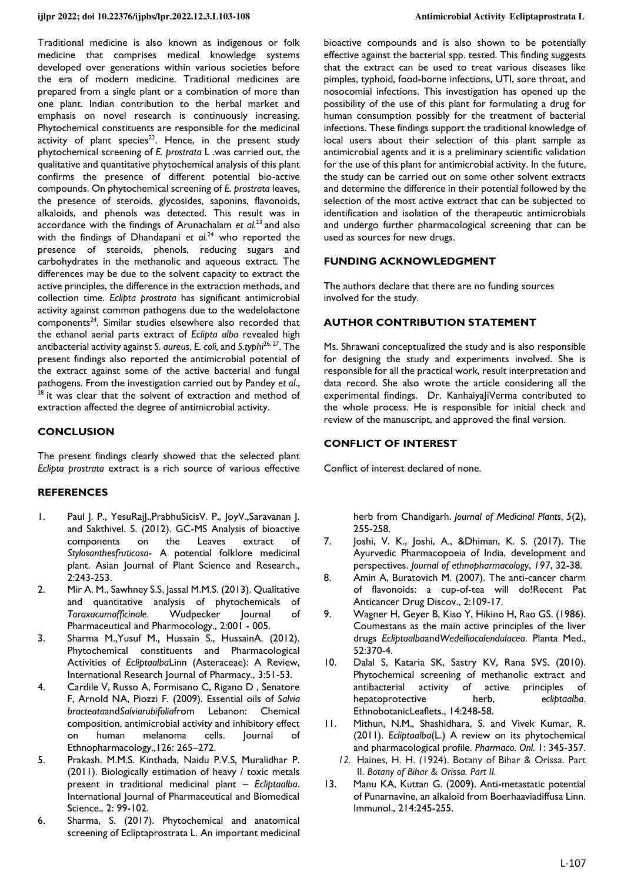Traditional medicine is also known as indigenous or folk medicine that comprises medical knowledge systems developed over generations within various societies before the era of modern medicine. Traditional medicines are prepared from a single plant or a combination of more than one plant. Indian contribution to the herbal market and emphasis on novel research is continuously increasing. Phytochemical constituents are responsible for the medicinal activity of plant species<sup>22</sup>. Hence, in the present study phytochemical screening of *E. prostrata* L *.*was carried out, the qualitative and quantitative phytochemical analysis of this plant confirms the presence of different potential bio-active compounds. On phytochemical screening of *E. prostrata* leaves, the presence of steroids, glycosides, saponins, flavonoids, alkaloids, and phenols was detected. This result was in accordance with the findings of Arunachalam *et al.<sup>23</sup>* and also with the findings of Dhandapani *et al.*<sup>24</sup> who reported the presence of steroids, phenols, reducing sugars and carbohydrates in the methanolic and aqueous extract. The differences may be due to the solvent capacity to extract the active principles, the difference in the extraction methods, and collection time. *Eclipta prostrata* has significant antimicrobial activity against common pathogens due to the wedelolactone components<sup>24</sup>. Similar studies elsewhere also recorded that the ethanol aerial parts extract of *Eclipta alba* revealed high antibacterial activity against *S. aureus*, *E. coli,* and *S.typhi*26, 27. The present findings also reported the antimicrobial potential of the extract against some of the active bacterial and fungal pathogens. From the investigation carried out by Pandey *et al*., it was clear that the solvent of extraction and method of extraction affected the degree of antimicrobial activity.

## **CONCLUSION**

The present findings clearly showed that the selected plant *Eclipta prostrata* extract is a rich source of various effective

## **REFERENCES**

- 1. Paul J. P., YesuRajl., PrabhuSicisV. P., JoyV., Saravanan J. and Sakthivel. S. (2012). GC-MS Analysis of bioactive components on the Leaves extract of *Stylosanthesfruticosa*- A potential folklore medicinal plant. Asian Journal of Plant Science and Research., 2:243-253.
- 2. Mir A. M., Sawhney S.S, Jassal M.M.S. (2013). Qualitative and quantitative analysis of phytochemicals of *Taraxacumofficinale*. Wudpecker Journal of Pharmaceutical and Pharmocology., 2:001 - 005.
- 3. Sharma M.,Yusuf M., Hussain S., HussainA. (2012). Phytochemical constituents and Pharmacological Activities of *Ecliptaalba*Linn (Asteraceae): A Review, International Research Journal of Pharmacy., 3:51-53.
- 4. Cardile V, Russo A, Formisano C, Rigano D , Senatore F, Arnold NA, Piozzi F. (2009). Essential oils of *Salvia bracteata*and*Salviarubifolia*from Lebanon: Chemical composition, antimicrobial activity and inhibitory effect on human melanoma cells. Journal of Ethnopharmacology.,126: 265–272.
- 5. Prakash. M.M.S. Kinthada, Naidu P.V.S, Muralidhar P. (2011). Biologically estimation of heavy / toxic metals present in traditional medicinal plant – *Ecliptaalba*. International Journal of Pharmaceutical and Biomedical Science., 2: 99-102.
- 6. Sharma, S. (2017). Phytochemical and anatomical screening of Ecliptaprostrata L. An important medicinal

bioactive compounds and is also shown to be potentially effective against the bacterial spp. tested. This finding suggests that the extract can be used to treat various diseases like pimples, typhoid, food-borne infections, UTI, sore throat, and nosocomial infections. This investigation has opened up the possibility of the use of this plant for formulating a drug for human consumption possibly for the treatment of bacterial infections. These findings support the traditional knowledge of local users about their selection of this plant sample as antimicrobial agents and it is a preliminary scientific validation for the use of this plant for antimicrobial activity. In the future, the study can be carried out on some other solvent extracts and determine the difference in their potential followed by the selection of the most active extract that can be subjected to identification and isolation of the therapeutic antimicrobials and undergo further pharmacological screening that can be used as sources for new drugs.

#### **FUNDING ACKNOWLEDGMENT**

The authors declare that there are no funding sources involved for the study.

## **AUTHOR CONTRIBUTION STATEMENT**

Ms. Shrawani conceptualized the study and is also responsible for designing the study and experiments involved. She is responsible for all the practical work, result interpretation and data record. She also wrote the article considering all the experimental findings. Dr. Kanhaiya|iVerma contributed to the whole process. He is responsible for initial check and review of the manuscript, and approved the final version.

## **CONFLICT OF INTEREST**

Conflict of interest declared of none.

herb from Chandigarh. *Journal of Medicinal Plants*, *5*(2), 255-258.

- 7. Joshi, V. K., Joshi, A., &Dhiman, K. S. (2017). The Ayurvedic Pharmacopoeia of India, development and perspectives. *Journal of ethnopharmacology*, *197*, 32-38.
- 8. Amin A, Buratovich M. (2007). The anti-cancer charm of flavonoids: a cup-of-tea will do!Recent Pat Anticancer Drug Discov., 2:109-17.
- 9. Wagner H, Geyer B, Kiso Y, Hikino H, Rao GS. (1986). Coumestans as the main active principles of the liver drugs *Ecliptaalba*and*Wedelliacalendulacea*. Planta Med., 52:370-4.
- 10. Dalal S, Kataria SK, Sastry KV, Rana SVS. (2010). Phytochemical screening of methanolic extract and antibacterial activity of active principles of hepatoprotective herb, *ecliptaalba*. EthnobotanicLeaflets., 14:248-58.
- 11. Mithun, N.M., Shashidhara, S. and Vivek Kumar, R. (2011). *Ecliptaalba*(L.) A review on its phytochemical and pharmacological profile. *Pharmaco. Onl.* 1: 345-357.
	- *12.* Haines, H. H. (1924). Botany of Bihar & Orissa. Part II. *Botany of Bihar & Orissa. Part II.*
- 13. Manu KA, Kuttan G. (2009). Anti-metastatic potential of Punarnavine, an alkaloid from Boerhaaviadiffusa Linn. Immunol., 214:245-255.